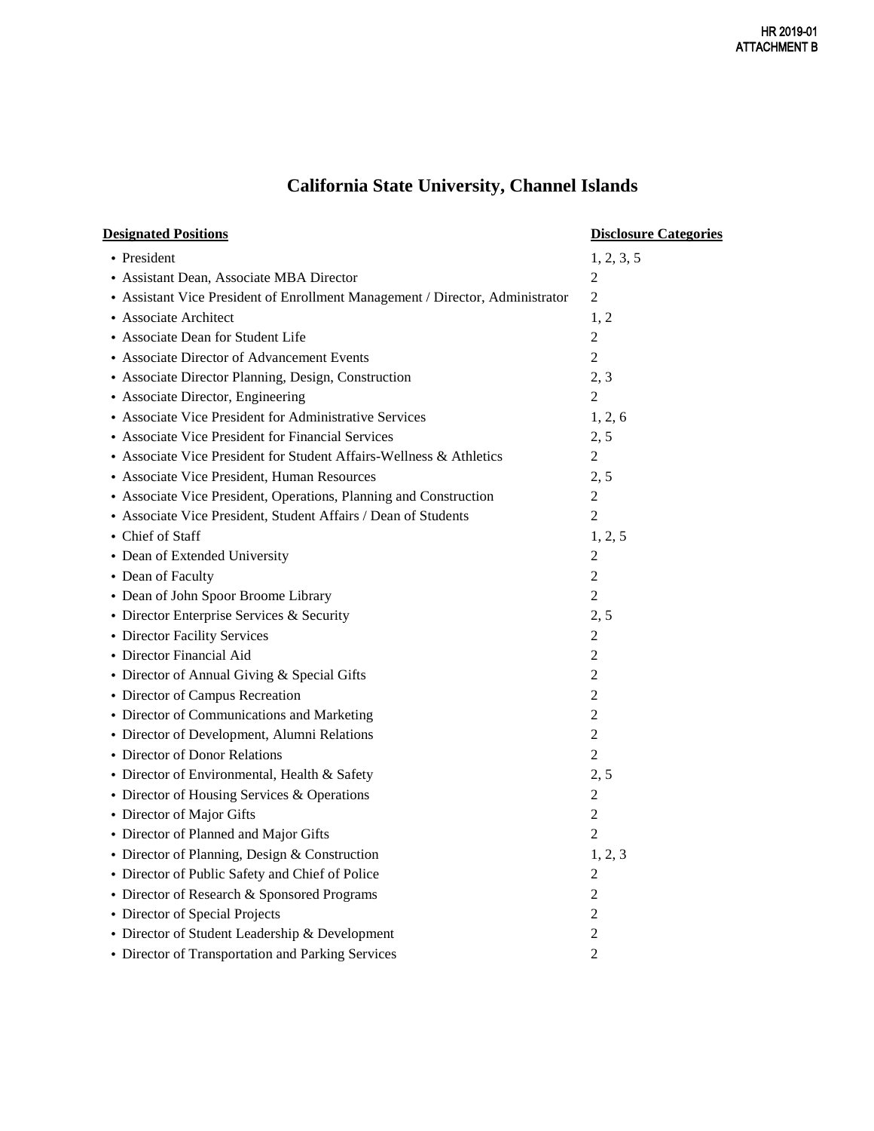## **California State University, Channel Islands**

| <b>Designated Positions</b>                                                   | <b>Disclosure Categories</b> |
|-------------------------------------------------------------------------------|------------------------------|
| • President                                                                   | 1, 2, 3, 5                   |
| • Assistant Dean, Associate MBA Director                                      | 2                            |
| • Assistant Vice President of Enrollment Management / Director, Administrator | $\overline{2}$               |
| • Associate Architect                                                         | 1, 2                         |
| • Associate Dean for Student Life                                             | $\overline{c}$               |
| • Associate Director of Advancement Events                                    | $\overline{2}$               |
| • Associate Director Planning, Design, Construction                           | 2, 3                         |
| • Associate Director, Engineering                                             | $\overline{2}$               |
| • Associate Vice President for Administrative Services                        | 1, 2, 6                      |
| • Associate Vice President for Financial Services                             | 2, 5                         |
| • Associate Vice President for Student Affairs-Wellness & Athletics           | $\overline{c}$               |
| • Associate Vice President, Human Resources                                   | 2, 5                         |
| • Associate Vice President, Operations, Planning and Construction             | $\mathfrak{2}$               |
| • Associate Vice President, Student Affairs / Dean of Students                | $\overline{2}$               |
| • Chief of Staff                                                              | 1, 2, 5                      |
| • Dean of Extended University                                                 | $\overline{c}$               |
| • Dean of Faculty                                                             | $\overline{c}$               |
| • Dean of John Spoor Broome Library                                           | $\overline{2}$               |
| • Director Enterprise Services & Security                                     | 2, 5                         |
| • Director Facility Services                                                  | $\overline{c}$               |
| • Director Financial Aid                                                      | $\overline{2}$               |
| • Director of Annual Giving & Special Gifts                                   | $\overline{c}$               |
| • Director of Campus Recreation                                               | $\overline{c}$               |
| • Director of Communications and Marketing                                    | $\overline{c}$               |
| • Director of Development, Alumni Relations                                   | $\overline{c}$               |
| • Director of Donor Relations                                                 | $\overline{c}$               |
| • Director of Environmental, Health & Safety                                  | 2, 5                         |
| • Director of Housing Services & Operations                                   | $\overline{c}$               |
| • Director of Major Gifts                                                     | $\overline{c}$               |
| • Director of Planned and Major Gifts                                         | $\overline{2}$               |
| • Director of Planning, Design & Construction                                 | 1, 2, 3                      |
| • Director of Public Safety and Chief of Police                               | 2                            |
| • Director of Research & Sponsored Programs                                   | $\overline{c}$               |
| • Director of Special Projects                                                | $\overline{2}$               |
| • Director of Student Leadership & Development                                | $\overline{c}$               |
| • Director of Transportation and Parking Services                             | $\overline{c}$               |